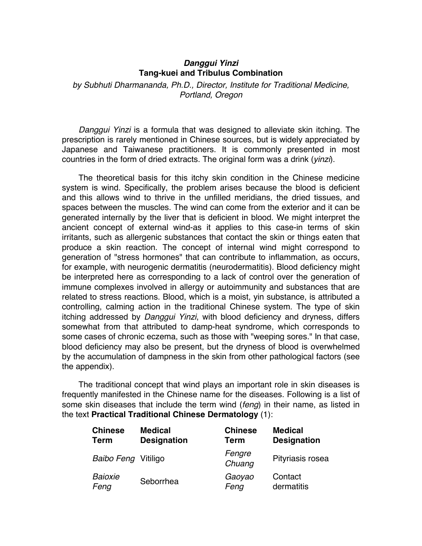## *Danggui Yinzi* **Tang-kuei and Tribulus Combination**

*by Subhuti Dharmananda, Ph.D., Director, Institute for Traditional Medicine, Portland, Oregon*

*Danggui Yinzi* is a formula that was designed to alleviate skin itching. The prescription is rarely mentioned in Chinese sources, but is widely appreciated by Japanese and Taiwanese practitioners. It is commonly presented in most countries in the form of dried extracts. The original form was a drink (*yinzi*).

The theoretical basis for this itchy skin condition in the Chinese medicine system is wind. Specifically, the problem arises because the blood is deficient and this allows wind to thrive in the unfilled meridians, the dried tissues, and spaces between the muscles. The wind can come from the exterior and it can be generated internally by the liver that is deficient in blood. We might interpret the ancient concept of external wind-as it applies to this case-in terms of skin irritants, such as allergenic substances that contact the skin or things eaten that produce a skin reaction. The concept of internal wind might correspond to generation of "stress hormones" that can contribute to inflammation, as occurs, for example, with neurogenic dermatitis (neurodermatitis). Blood deficiency might be interpreted here as corresponding to a lack of control over the generation of immune complexes involved in allergy or autoimmunity and substances that are related to stress reactions. Blood, which is a moist, yin substance, is attributed a controlling, calming action in the traditional Chinese system. The type of skin itching addressed by *Danggui Yinzi*, with blood deficiency and dryness, differs somewhat from that attributed to damp-heat syndrome, which corresponds to some cases of chronic eczema, such as those with "weeping sores." In that case, blood deficiency may also be present, but the dryness of blood is overwhelmed by the accumulation of dampness in the skin from other pathological factors (see the appendix).

The traditional concept that wind plays an important role in skin diseases is frequently manifested in the Chinese name for the diseases. Following is a list of some skin diseases that include the term wind (*feng*) in their name, as listed in the text **Practical Traditional Chinese Dermatology** (1):

| <b>Chinese</b>      | <b>Medical</b>     | <b>Chinese</b>   | <b>Medical</b>     |
|---------------------|--------------------|------------------|--------------------|
| <b>Term</b>         | <b>Designation</b> | <b>Term</b>      | <b>Designation</b> |
| Baibo Feng Vitiligo |                    | Fengre<br>Chuang | Pityriasis rosea   |
| Baioxie             | Seborrhea          | Gaoyao           | Contact            |
| Feng                |                    | Feng             | dermatitis         |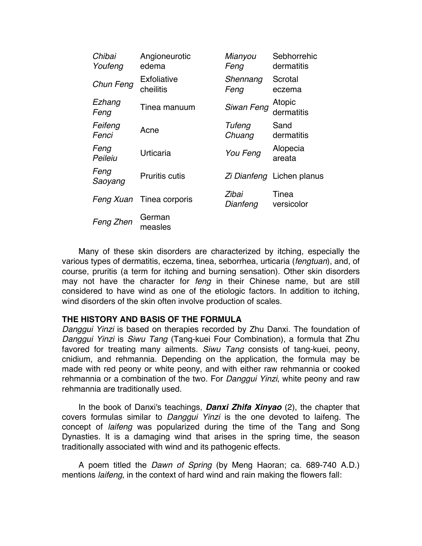| Chibai<br>Youfeng | Angioneurotic<br>edema   | Mianyou<br>Feng   | Sebhorrehic<br>dermatitis |
|-------------------|--------------------------|-------------------|---------------------------|
| Chun Feng         | Exfoliative<br>cheilitis | Shennang<br>Feng  | Scrotal<br>eczema         |
| Ezhang<br>Feng    | Tinea manuum             | Siwan Feng        | Atopic<br>dermatitis      |
| Feifeng<br>Fenci  | Acne                     | Tufeng<br>Chuang  | Sand<br>dermatitis        |
| Feng<br>Peileiu   | Urticaria                | You Feng          | Alopecia<br>areata        |
| Feng<br>Saoyang   | <b>Pruritis cutis</b>    |                   | Zi Dianfeng Lichen planus |
| Feng Xuan         | Tinea corporis           | Zibai<br>Dianfeng | Tinea<br>versicolor       |
| Feng Zhen         | German<br>measles        |                   |                           |

Many of these skin disorders are characterized by itching, especially the various types of dermatitis, eczema, tinea, seborrhea, urticaria (*fengtuan*), and, of course, pruritis (a term for itching and burning sensation). Other skin disorders may not have the character for *feng* in their Chinese name, but are still considered to have wind as one of the etiologic factors. In addition to itching, wind disorders of the skin often involve production of scales.

## **THE HISTORY AND BASIS OF THE FORMULA**

*Danggui Yinzi* is based on therapies recorded by Zhu Danxi. The foundation of *Danggui Yinzi* is *Siwu Tang* (Tang-kuei Four Combination), a formula that Zhu favored for treating many ailments. *Siwu Tang* consists of tang-kuei, peony, cnidium, and rehmannia. Depending on the application, the formula may be made with red peony or white peony, and with either raw rehmannia or cooked rehmannia or a combination of the two. For *Danggui Yinzi*, white peony and raw rehmannia are traditionally used.

In the book of Danxi's teachings, *Danxi Zhifa Xinyao* (2), the chapter that covers formulas similar to *Danggui Yinzi* is the one devoted to laifeng. The concept of *laifeng* was popularized during the time of the Tang and Song Dynasties. It is a damaging wind that arises in the spring time, the season traditionally associated with wind and its pathogenic effects.

A poem titled the *Dawn of Spring* (by Meng Haoran; ca. 689-740 A.D.) mentions *laifeng*, in the context of hard wind and rain making the flowers fall: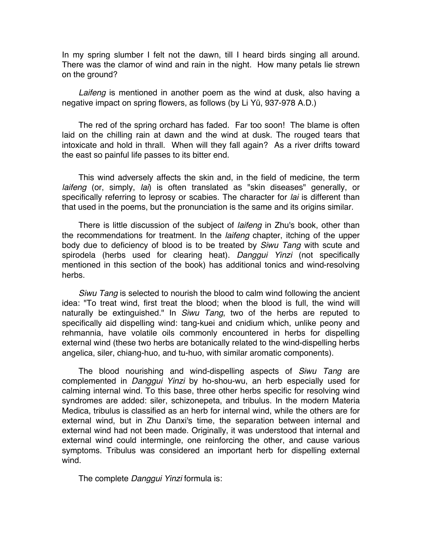In my spring slumber I felt not the dawn, till I heard birds singing all around. There was the clamor of wind and rain in the night. How many petals lie strewn on the ground?

*Laifeng* is mentioned in another poem as the wind at dusk, also having a negative impact on spring flowers, as follows (by Li Yü, 937-978 A.D.)

The red of the spring orchard has faded. Far too soon! The blame is often laid on the chilling rain at dawn and the wind at dusk. The rouged tears that intoxicate and hold in thrall. When will they fall again? As a river drifts toward the east so painful life passes to its bitter end.

This wind adversely affects the skin and, in the field of medicine, the term *laifeng* (or, simply, *lai*) is often translated as "skin diseases" generally, or specifically referring to leprosy or scabies. The character for *lai* is different than that used in the poems, but the pronunciation is the same and its origins similar.

There is little discussion of the subject of *laifeng* in Zhu's book, other than the recommendations for treatment. In the *laifeng* chapter, itching of the upper body due to deficiency of blood is to be treated by *Siwu Tang* with scute and spirodela (herbs used for clearing heat). *Danggui Yinzi* (not specifically mentioned in this section of the book) has additional tonics and wind-resolving herbs.

*Siwu Tang* is selected to nourish the blood to calm wind following the ancient idea: "To treat wind, first treat the blood; when the blood is full, the wind will naturally be extinguished." In *Siwu Tang*, two of the herbs are reputed to specifically aid dispelling wind: tang-kuei and cnidium which, unlike peony and rehmannia, have volatile oils commonly encountered in herbs for dispelling external wind (these two herbs are botanically related to the wind-dispelling herbs angelica, siler, chiang-huo, and tu-huo, with similar aromatic components).

The blood nourishing and wind-dispelling aspects of *Siwu Tang* are complemented in *Danggui Yinzi* by ho-shou-wu, an herb especially used for calming internal wind. To this base, three other herbs specific for resolving wind syndromes are added: siler, schizonepeta, and tribulus. In the modern Materia Medica, tribulus is classified as an herb for internal wind, while the others are for external wind, but in Zhu Danxi's time, the separation between internal and external wind had not been made. Originally, it was understood that internal and external wind could intermingle, one reinforcing the other, and cause various symptoms. Tribulus was considered an important herb for dispelling external wind.

The complete *Danggui Yinzi* formula is: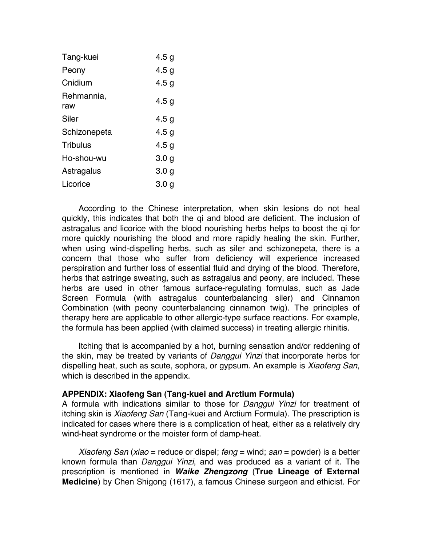| Tang-kuei         | 4.5 <sub>q</sub> |
|-------------------|------------------|
| Peony             | 4.5 <sub>q</sub> |
| Cnidium           | 4.5 <sub>q</sub> |
| Rehmannia,<br>raw | 4.5g             |
| Siler             | 4.5 <sub>q</sub> |
| Schizonepeta      | 4.5 <sub>q</sub> |
| <b>Tribulus</b>   | 4.5 <sub>q</sub> |
| Ho-shou-wu        | 3.0 <sub>q</sub> |
| Astragalus        | 3.0 <sub>q</sub> |
| Licorice          | 3.0 g            |

According to the Chinese interpretation, when skin lesions do not heal quickly, this indicates that both the qi and blood are deficient. The inclusion of astragalus and licorice with the blood nourishing herbs helps to boost the qi for more quickly nourishing the blood and more rapidly healing the skin. Further, when using wind-dispelling herbs, such as siler and schizonepeta, there is a concern that those who suffer from deficiency will experience increased perspiration and further loss of essential fluid and drying of the blood. Therefore, herbs that astringe sweating, such as astragalus and peony, are included. These herbs are used in other famous surface-regulating formulas, such as Jade Screen Formula (with astragalus counterbalancing siler) and Cinnamon Combination (with peony counterbalancing cinnamon twig). The principles of therapy here are applicable to other allergic-type surface reactions. For example, the formula has been applied (with claimed success) in treating allergic rhinitis.

Itching that is accompanied by a hot, burning sensation and/or reddening of the skin, may be treated by variants of *Danggui Yinzi* that incorporate herbs for dispelling heat, such as scute, sophora, or gypsum. An example is *Xiaofeng San*, which is described in the appendix.

## **APPENDIX: Xiaofeng San (Tang-kuei and Arctium Formula)**

A formula with indications similar to those for *Danggui Yinzi* for treatment of itching skin is *Xiaofeng San* (Tang-kuei and Arctium Formula). The prescription is indicated for cases where there is a complication of heat, either as a relatively dry wind-heat syndrome or the moister form of damp-heat.

*Xiaofeng San* (*xiao* = reduce or dispel; *feng* = wind; *san* = powder) is a better known formula than *Danggui Yinzi*, and was produced as a variant of it. The prescription is mentioned in *Waike Zhengzong* (**True Lineage of External Medicine**) by Chen Shigong (1617), a famous Chinese surgeon and ethicist. For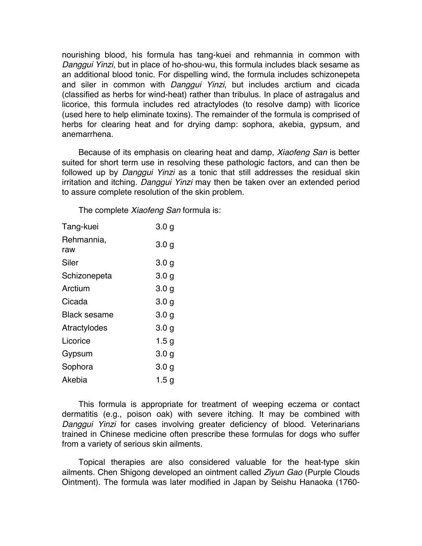nourishing blood, his formula has tang-kuei and rehmannia in common with *Danggui Yinzi*, but in place of ho-shou-wu, this formula includes black sesame as an additional blood tonic. For dispelling wind, the formula includes schizonepeta and siler in common with *Danggui Yinzi*, but includes arctium and cicada (classified as herbs for wind-heat) rather than tribulus. In place of astragalus and licorice, this formula includes red atractylodes (to resolve damp) with licorice (used here to help eliminate toxins). The remainder of the formula is comprised of herbs for clearing heat and for drying damp: sophora, akebia, gypsum, and anemarrhena.

Because of its emphasis on clearing heat and damp, *Xiaofeng San* is better suited for short term use in resolving these pathologic factors, and can then be followed up by *Danggui Yinzi* as a tonic that still addresses the residual skin irritation and itching. *Danggui Yinzi* may then be taken over an extended period to assure complete resolution of the skin problem.

The complete *Xiaofeng San* formula is:

| Tang-kuei           | 3.0 <sub>g</sub> |
|---------------------|------------------|
| Rehmannia,<br>raw   | 3.0 <sub>q</sub> |
| Siler               | 3.0 <sub>g</sub> |
| Schizonepeta        | 3.0 <sub>q</sub> |
| Arctium             | 3.0 <sub>q</sub> |
| Cicada              | 3.0 <sub>g</sub> |
| <b>Black sesame</b> | 3.0 <sub>q</sub> |
| Atractylodes        | 3.0 <sub>q</sub> |
| Licorice            | 1.5 <sub>q</sub> |
| Gypsum              | 3.0 <sub>g</sub> |
| Sophora             | 3.0 <sub>q</sub> |
| Akebia              | 1.5 g            |

This formula is appropriate for treatment of weeping eczema or contact dermatitis (e.g., poison oak) with severe itching. It may be combined with *Danggui Yinzi* for cases involving greater deficiency of blood. Veterinarians trained in Chinese medicine often prescribe these formulas for dogs who suffer from a variety of serious skin ailments.

Topical therapies are also considered valuable for the heat-type skin ailments. Chen Shigong developed an ointment called *Ziyun Gao* (Purple Clouds Ointment). The formula was later modified in Japan by Seishu Hanaoka (1760